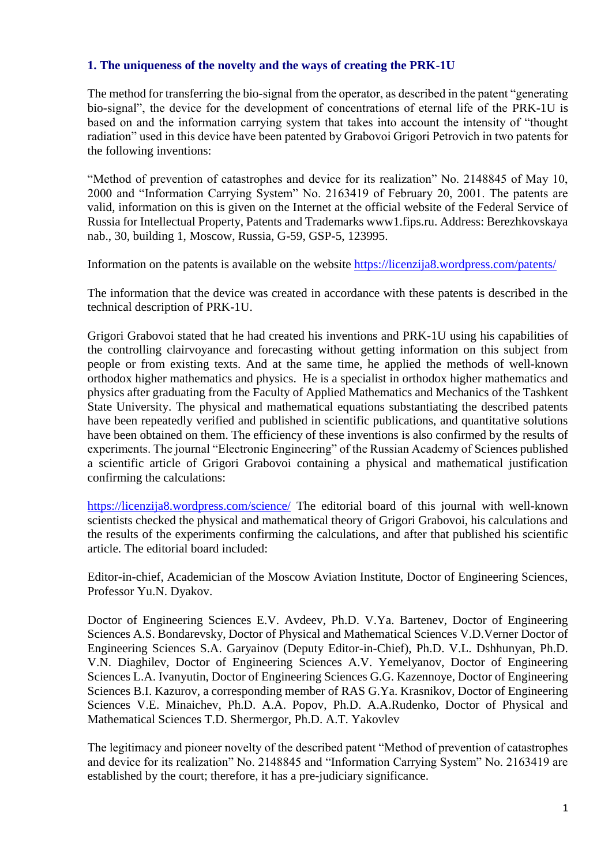## **1. The uniqueness of the novelty and the ways of creating the PRK-1U**

The method for transferring the bio-signal from the operator, as described in the patent "generating bio-signal", the device for the development of concentrations of eternal life of the PRK-1U is based on and the information carrying system that takes into account the intensity of "thought radiation" used in this device have been patented by Grabovoi Grigori Petrovich in two patents for the following inventions:

"Method of prevention of catastrophes and device for its realization" No. 2148845 of May 10, 2000 and "Information Carrying System" No. 2163419 of February 20, 2001. The patents are valid, information on this is given on the Internet at the official website of the Federal Service of Russia for Intellectual Property, Patents and Trademarks www1.fips.ru. Address: Berezhkovskaya nab., 30, building 1, Moscow, Russia, G-59, GSP-5, 123995.

Information on the patents is available on the website <https://licenzija8.wordpress.com/patents/>

The information that the device was created in accordance with these patents is described in the technical description of PRK-1U.

Grigori Grabovoi stated that he had created his inventions and PRK-1U using his capabilities of the controlling clairvoyance and forecasting without getting information on this subject from people or from existing texts. And at the same time, he applied the methods of well-known orthodox higher mathematics and physics. He is a specialist in orthodox higher mathematics and physics after graduating from the Faculty of Applied Mathematics and Mechanics of the Tashkent State University. The physical and mathematical equations substantiating the described patents have been repeatedly verified and published in scientific publications, and quantitative solutions have been obtained on them. The efficiency of these inventions is also confirmed by the results of experiments. The journal "Electronic Engineering" of the Russian Academy of Sciences published a scientific article of Grigori Grabovoi containing a physical and mathematical justification confirming the calculations:

<https://licenzija8.wordpress.com/science/> The editorial board of this journal with well-known scientists checked the physical and mathematical theory of Grigori Grabovoi, his calculations and the results of the experiments confirming the calculations, and after that published his scientific article. The editorial board included:

Editor-in-chief, Academician of the Moscow Aviation Institute, Doctor of Engineering Sciences, Professor Yu.N. Dyakov.

Doctor of Engineering Sciences E.V. Avdeev, Ph.D. V.Ya. Bartenev, Doctor of Engineering Sciences A.S. Bondarevsky, Doctor of Physical and Mathematical Sciences V.D.Verner Doctor of Engineering Sciences S.A. Garyainov (Deputy Editor-in-Chief), Ph.D. V.L. Dshhunyan, Ph.D. V.N. Diaghilev, Doctor of Engineering Sciences A.V. Yemelyanov, Doctor of Engineering Sciences L.A. Ivanyutin, Doctor of Engineering Sciences G.G. Kazennoye, Doctor of Engineering Sciences B.I. Kazurov, a corresponding member of RAS G.Ya. Krasnikov, Doctor of Engineering Sciences V.E. Minaichev, Ph.D. A.A. Popov, Ph.D. A.A.Rudenko, Doctor of Physical and Mathematical Sciences T.D. Shermergor, Ph.D. A.T. Yakovlev

The legitimacy and pioneer novelty of the described patent "Method of prevention of catastrophes and device for its realization" No. 2148845 and "Information Carrying System" No. 2163419 are established by the court; therefore, it has a pre-judiciary significance.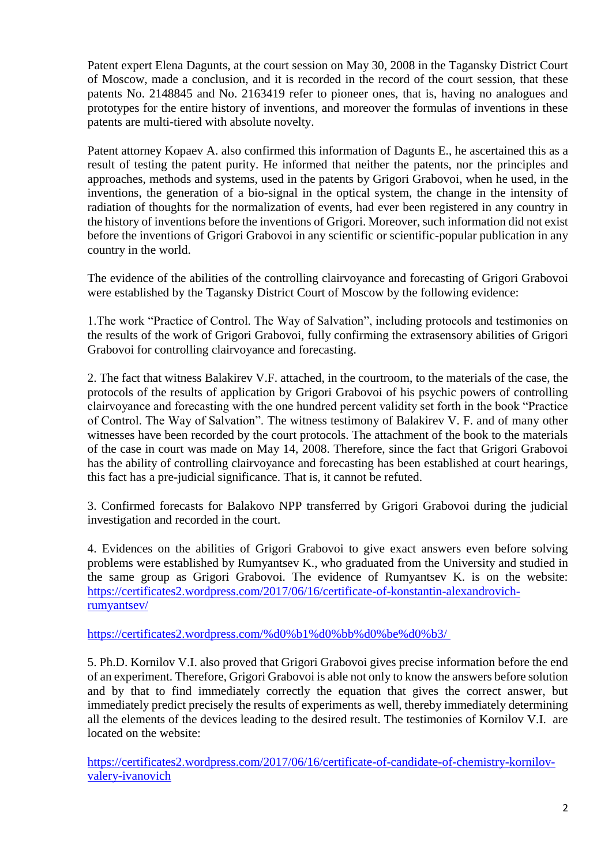Patent expert Elena Dagunts, at the court session on May 30, 2008 in the Tagansky District Court of Moscow, made a conclusion, and it is recorded in the record of the court session, that these patents No. 2148845 and No. 2163419 refer to pioneer ones, that is, having no analogues and prototypes for the entire history of inventions, and moreover the formulas of inventions in these patents are multi-tiered with absolute novelty.

Patent attorney Kopaev A. also confirmed this information of Dagunts E., he ascertained this as a result of testing the patent purity. He informed that neither the patents, nor the principles and approaches, methods and systems, used in the patents by Grigori Grabovoi, when he used, in the inventions, the generation of a bio-signal in the optical system, the change in the intensity of radiation of thoughts for the normalization of events, had ever been registered in any country in the history of inventions before the inventions of Grigori. Moreover, such information did not exist before the inventions of Grigori Grabovoi in any scientific or scientific-popular publication in any country in the world.

The evidence of the abilities of the controlling clairvoyance and forecasting of Grigori Grabovoi were established by the Tagansky District Court of Moscow by the following evidence:

1.The work "Practice of Control. The Way of Salvation", including protocols and testimonies on the results of the work of Grigori Grabovoi, fully confirming the extrasensory abilities of Grigori Grabovoi for controlling clairvoyance and forecasting.

2. The fact that witness Balakirev V.F. attached, in the courtroom, to the materials of the case, the protocols of the results of application by Grigori Grabovoi of his psychic powers of controlling clairvoyance and forecasting with the one hundred percent validity set forth in the book "Practice of Control. The Way of Salvation". The witness testimony of Balakirev V. F. and of many other witnesses have been recorded by the court protocols. The attachment of the book to the materials of the case in court was made on May 14, 2008. Therefore, since the fact that Grigori Grabovoi has the ability of controlling clairvoyance and forecasting has been established at court hearings, this fact has a pre-judicial significance. That is, it cannot be refuted.

3. Confirmed forecasts for Balakovo NPP transferred by Grigori Grabovoi during the judicial investigation and recorded in the court.

4. Evidences on the abilities of Grigori Grabovoi to give exact answers even before solving problems were established by Rumyantsev K., who graduated from the University and studied in the same group as Grigori Grabovoi. The evidence of Rumyantsev K. is on the website: [https://certificates2.wordpress.com/2017/06/16/certificate-of-konstantin-alexandrovich](https://certificates2.wordpress.com/2017/06/16/certificate-of-konstantin-alexandrovich-rumyantsev/)[rumyantsev/](https://certificates2.wordpress.com/2017/06/16/certificate-of-konstantin-alexandrovich-rumyantsev/)

[https://certificates2.wordpress.com/%d0%b1%d0%bb%d0%be%d0%b3/](https://certificates2.wordpress.com/2017/06/16/certificate-of-konstantin-alexandrovich-rumyantsev/)

5. Ph.D. Kornilov V.I. also proved that Grigori Grabovoi gives precise information before the end of an experiment. Therefore, Grigori Grabovoi is able not only to know the answers before solution and by that to find immediately correctly the equation that gives the correct answer, but immediately predict precisely the results of experiments as well, thereby immediately determining all the elements of the devices leading to the desired result. The testimonies of Kornilov V.I. are located on the website:

[https://certificates2.wordpress.com/2017/06/16/certificate-of-candidate-of-chemistry-kornilov](https://certificates2.wordpress.com/2017/06/16/certificate-of-candidate-of-chemistry-kornilov-valery-ivanovich)[valery-ivanovich](https://certificates2.wordpress.com/2017/06/16/certificate-of-candidate-of-chemistry-kornilov-valery-ivanovich)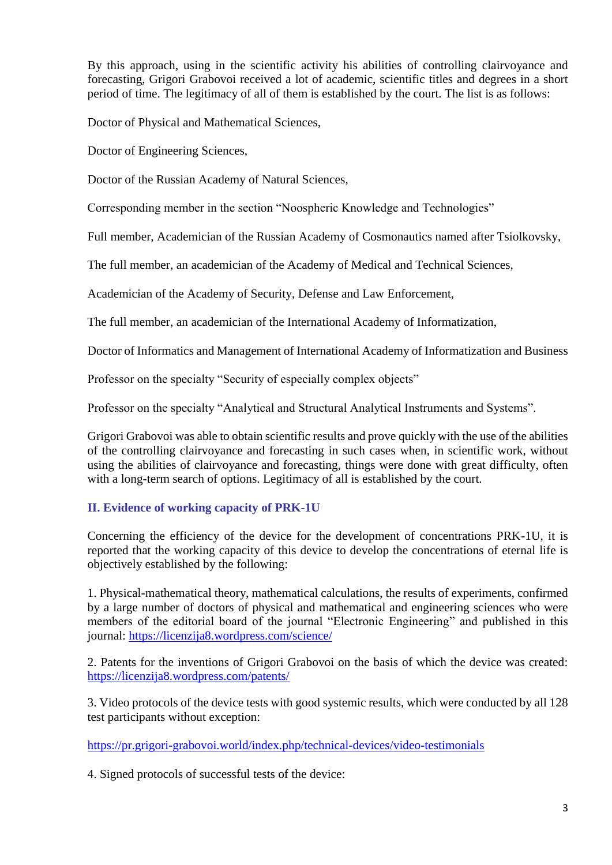By this approach, using in the scientific activity his abilities of controlling clairvoyance and forecasting, Grigori Grabovoi received a lot of academic, scientific titles and degrees in a short period of time. The legitimacy of all of them is established by the court. The list is as follows:

Doctor of Physical and Mathematical Sciences,

Doctor of Engineering Sciences,

Doctor of the Russian Academy of Natural Sciences,

Corresponding member in the section "Noospheric Knowledge and Technologies"

Full member, Academician of the Russian Academy of Cosmonautics named after Tsiolkovsky,

The full member, an academician of the Academy of Medical and Technical Sciences,

Academician of the Academy of Security, Defense and Law Enforcement,

The full member, an academician of the International Academy of Informatization,

Doctor of Informatics and Management of International Academy of Informatization and Business

Professor on the specialty "Security of especially complex objects"

Professor on the specialty "Analytical and Structural Analytical Instruments and Systems".

Grigori Grabovoi was able to obtain scientific results and prove quickly with the use of the abilities of the controlling clairvoyance and forecasting in such cases when, in scientific work, without using the abilities of clairvoyance and forecasting, things were done with great difficulty, often with a long-term search of options. Legitimacy of all is established by the court.

# **II. Evidence of working capacity of PRK-1U**

Concerning the efficiency of the device for the development of concentrations PRK-1U, it is reported that the working capacity of this device to develop the concentrations of eternal life is objectively established by the following:

1. Physical-mathematical theory, mathematical calculations, the results of experiments, confirmed by a large number of doctors of physical and mathematical and engineering sciences who were members of the editorial board of the journal "Electronic Engineering" and published in this journal:<https://licenzija8.wordpress.com/science/>

2. Patents for the inventions of Grigori Grabovoi on the basis of which the device was created: <https://licenzija8.wordpress.com/patents/>

3. Video protocols of the device tests with good systemic results, which were conducted by all 128 test participants without exception:

<https://pr.grigori-grabovoi.world/index.php/technical-devices/video-testimonials>

4. Signed protocols of successful tests of the device: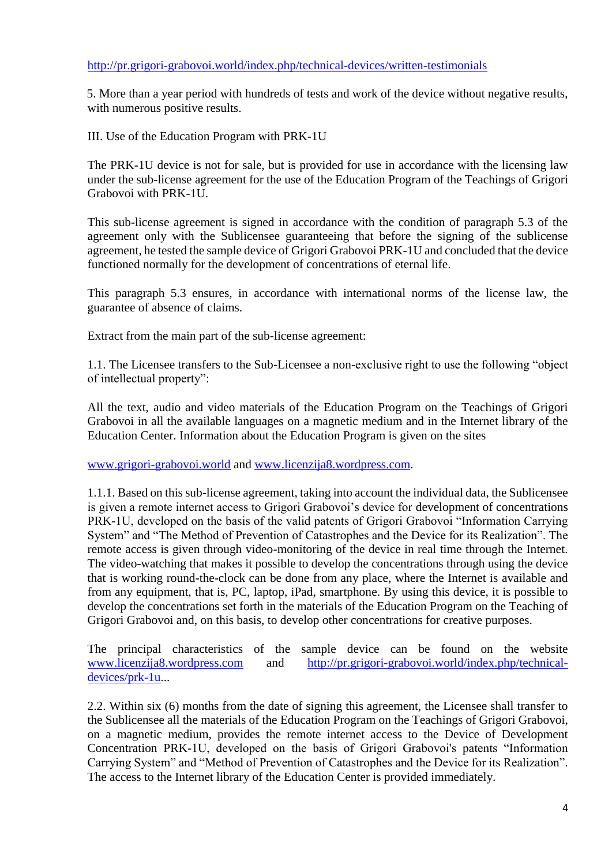### <http://pr.grigori-grabovoi.world/index.php/technical-devices/written-testimonials>

5. More than a year period with hundreds of tests and work of the device without negative results, with numerous positive results.

III. Use of the Education Program with PRK-1U

The PRK-1U device is not for sale, but is provided for use in accordance with the licensing law under the sub-license agreement for the use of the Education Program of the Teachings of Grigori Grabovoi with PRK-1U.

This sub-license agreement is signed in accordance with the condition of paragraph 5.3 of the agreement only with the Sublicensee guaranteeing that before the signing of the sublicense agreement, he tested the sample device of Grigori Grabovoi PRK-1U and concluded that the device functioned normally for the development of concentrations of eternal life.

This paragraph 5.3 ensures, in accordance with international norms of the license law, the guarantee of absence of claims.

Extract from the main part of the sub-license agreement:

1.1. The Licensee transfers to the Sub-Licensee a non-exclusive right to use the following "object of intellectual property":

All the text, audio and video materials of the Education Program on the Teachings of Grigori Grabovoi in all the available languages on a magnetic medium and in the Internet library of the Education Center. Information about the Education Program is given on the sites

[www.grigori-grabovoi.world](http://www.grigori-grabovoi.world/) and [www.licenzija8.wordpress.com.](http://www.licenzija8.wordpress.com/)

1.1.1. Based on this sub-license agreement, taking into account the individual data, the Sublicensee is given a remote internet access to Grigori Grabovoi's device for development of concentrations PRK-1U, developed on the basis of the valid patents of Grigori Grabovoi "Information Carrying System" and "The Method of Prevention of Catastrophes and the Device for its Realization". The remote access is given through video-monitoring of the device in real time through the Internet. The video-watching that makes it possible to develop the concentrations through using the device that is working round-the-clock can be done from any place, where the Internet is available and from any equipment, that is, PC, laptop, iPad, smartphone. By using this device, it is possible to develop the concentrations set forth in the materials of the Education Program on the Teaching of Grigori Grabovoi and, on this basis, to develop other concentrations for creative purposes.

The principal characteristics of the sample device can be found on the website [www.licenzija8.wordpress.com](http://www.licenzija8.wordpress.com/) and [http://pr.grigori-grabovoi.world/index.php/technical](http://pr.grigori-grabovoi.world/index.php/technical-devices/prk-1u)[devices/prk-1u.](http://pr.grigori-grabovoi.world/index.php/technical-devices/prk-1u)..

2.2. Within six (6) months from the date of signing this agreement, the Licensee shall transfer to the Sublicensee all the materials of the Education Program on the Teachings of Grigori Grabovoi, on a magnetic medium, provides the remote internet access to the Device of Development Concentration PRK-1U, developed on the basis of Grigori Grabovoi's patents "Information Carrying System" and "Method of Prevention of Catastrophes and the Device for its Realization". The access to the Internet library of the Education Center is provided immediately.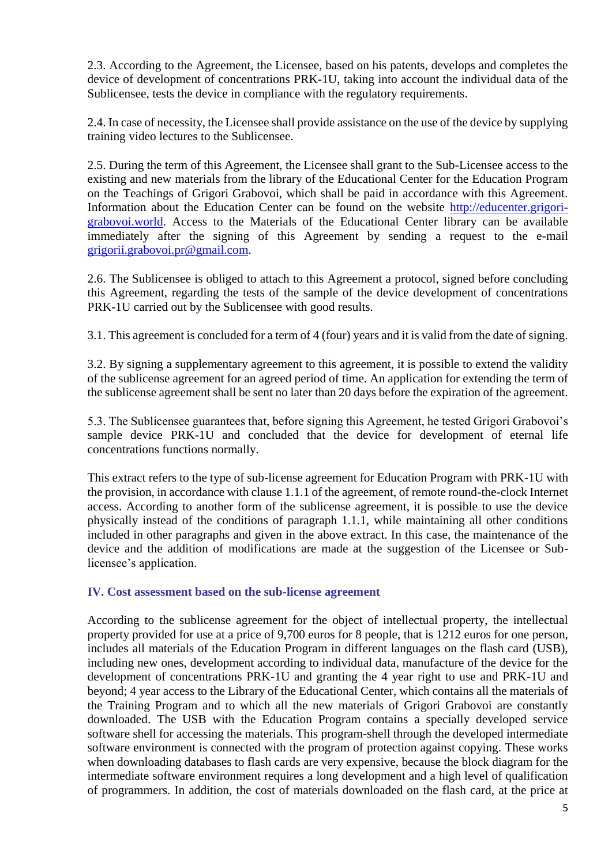2.3. According to the Agreement, the Licensee, based on his patents, develops and completes the device of development of concentrations PRK-1U, taking into account the individual data of the Sublicensee, tests the device in compliance with the regulatory requirements.

2.4. In case of necessity, the Licensee shall provide assistance on the use of the device by supplying training video lectures to the Sublicensee.

2.5. During the term of this Agreement, the Licensee shall grant to the Sub-Licensee access to the existing and new materials from the library of the Educational Center for the Education Program on the Teachings of Grigori Grabovoi, which shall be paid in accordance with this Agreement. Information about the Education Center can be found on the website [http://educenter.grigori](http://educenter.grigori-grabovoi.world/)[grabovoi.world.](http://educenter.grigori-grabovoi.world/) Access to the Materials of the Educational Center library can be available immediately after the signing of this Agreement by sending a request to the e-mail [grigorii.grabovoi.pr@gmail.com.](mailto:grigorii.grabovoi.pr@gmail.com)

2.6. The Sublicensee is obliged to attach to this Agreement a protocol, signed before concluding this Agreement, regarding the tests of the sample of the device development of concentrations PRK-1U carried out by the Sublicensee with good results.

3.1. This agreement is concluded for a term of 4 (four) years and it is valid from the date of signing.

3.2. By signing a supplementary agreement to this agreement, it is possible to extend the validity of the sublicense agreement for an agreed period of time. An application for extending the term of the sublicense agreement shall be sent no later than 20 days before the expiration of the agreement.

5.3. The Sublicensee guarantees that, before signing this Agreement, he tested Grigori Grabovoi's sample device PRK-1U and concluded that the device for development of eternal life concentrations functions normally.

This extract refers to the type of sub-license agreement for Education Program with PRK-1U with the provision, in accordance with clause 1.1.1 of the agreement, of remote round-the-clock Internet access. According to another form of the sublicense agreement, it is possible to use the device physically instead of the conditions of paragraph 1.1.1, while maintaining all other conditions included in other paragraphs and given in the above extract. In this case, the maintenance of the device and the addition of modifications are made at the suggestion of the Licensee or Sublicensee's application.

#### **IV. Cost assessment based on the sub-license agreement**

According to the sublicense agreement for the object of intellectual property, the intellectual property provided for use at a price of 9,700 euros for 8 people, that is 1212 euros for one person, includes all materials of the Education Program in different languages on the flash card (USB), including new ones, development according to individual data, manufacture of the device for the development of concentrations PRK-1U and granting the 4 year right to use and PRK-1U and beyond; 4 year access to the Library of the Educational Center, which contains all the materials of the Training Program and to which all the new materials of Grigori Grabovoi are constantly downloaded. The USB with the Education Program contains a specially developed service software shell for accessing the materials. This program-shell through the developed intermediate software environment is connected with the program of protection against copying. These works when downloading databases to flash cards are very expensive, because the block diagram for the intermediate software environment requires a long development and a high level of qualification of programmers. In addition, the cost of materials downloaded on the flash card, at the price at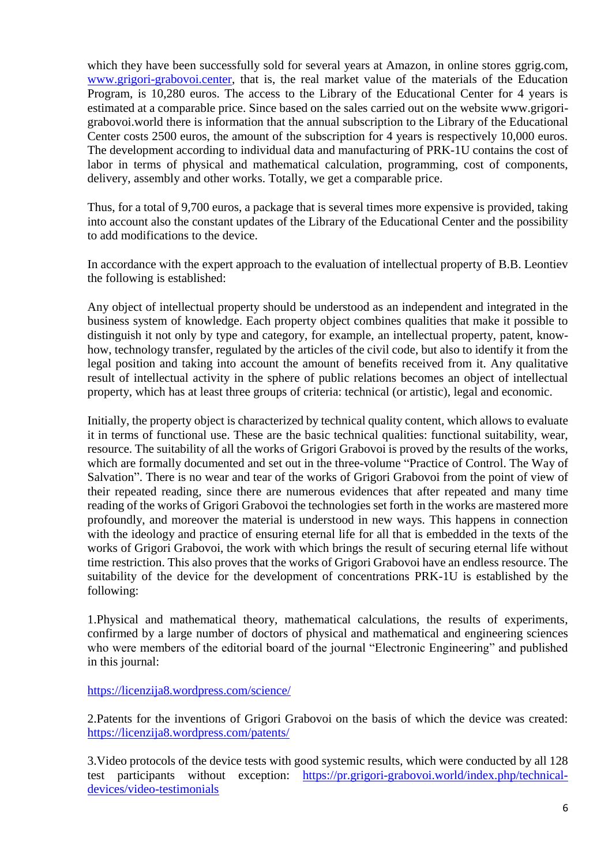which they have been successfully sold for several years at Amazon, in online stores ggrig.com, [www.grigori-grabovoi.center,](http://www.grigori-grabovoi.center/) that is, the real market value of the materials of the Education Program, is 10,280 euros. The access to the Library of the Educational Center for 4 years is estimated at a comparable price. Since based on the sales carried out on the website www.grigorigrabovoi.world there is information that the annual subscription to the Library of the Educational Center costs 2500 euros, the amount of the subscription for 4 years is respectively 10,000 euros. The development according to individual data and manufacturing of PRK-1U contains the cost of labor in terms of physical and mathematical calculation, programming, cost of components, delivery, assembly and other works. Totally, we get a comparable price.

Thus, for a total of 9,700 euros, a package that is several times more expensive is provided, taking into account also the constant updates of the Library of the Educational Center and the possibility to add modifications to the device.

In accordance with the expert approach to the evaluation of intellectual property of B.B. Leontiev the following is established:

Any object of intellectual property should be understood as an independent and integrated in the business system of knowledge. Each property object combines qualities that make it possible to distinguish it not only by type and category, for example, an intellectual property, patent, knowhow, technology transfer, regulated by the articles of the civil code, but also to identify it from the legal position and taking into account the amount of benefits received from it. Any qualitative result of intellectual activity in the sphere of public relations becomes an object of intellectual property, which has at least three groups of criteria: technical (or artistic), legal and economic.

Initially, the property object is characterized by technical quality content, which allows to evaluate it in terms of functional use. These are the basic technical qualities: functional suitability, wear, resource. The suitability of all the works of Grigori Grabovoi is proved by the results of the works, which are formally documented and set out in the three-volume "Practice of Control. The Way of Salvation". There is no wear and tear of the works of Grigori Grabovoi from the point of view of their repeated reading, since there are numerous evidences that after repeated and many time reading of the works of Grigori Grabovoi the technologies set forth in the works are mastered more profoundly, and moreover the material is understood in new ways. This happens in connection with the ideology and practice of ensuring eternal life for all that is embedded in the texts of the works of Grigori Grabovoi, the work with which brings the result of securing eternal life without time restriction. This also proves that the works of Grigori Grabovoi have an endless resource. The suitability of the device for the development of concentrations PRK-1U is established by the following:

1.Physical and mathematical theory, mathematical calculations, the results of experiments, confirmed by a large number of doctors of physical and mathematical and engineering sciences who were members of the editorial board of the journal "Electronic Engineering" and published in this journal:

<https://licenzija8.wordpress.com/science/>

2.Patents for the inventions of Grigori Grabovoi on the basis of which the device was created: <https://licenzija8.wordpress.com/patents/>

3.Video protocols of the device tests with good systemic results, which were conducted by all 128 test participants without exception: [https://pr.grigori-grabovoi.world/index.php/technical](https://pr.grigori-grabovoi.world/index.php/technical-devices/video-testimonials)[devices/video-testimonials](https://pr.grigori-grabovoi.world/index.php/technical-devices/video-testimonials)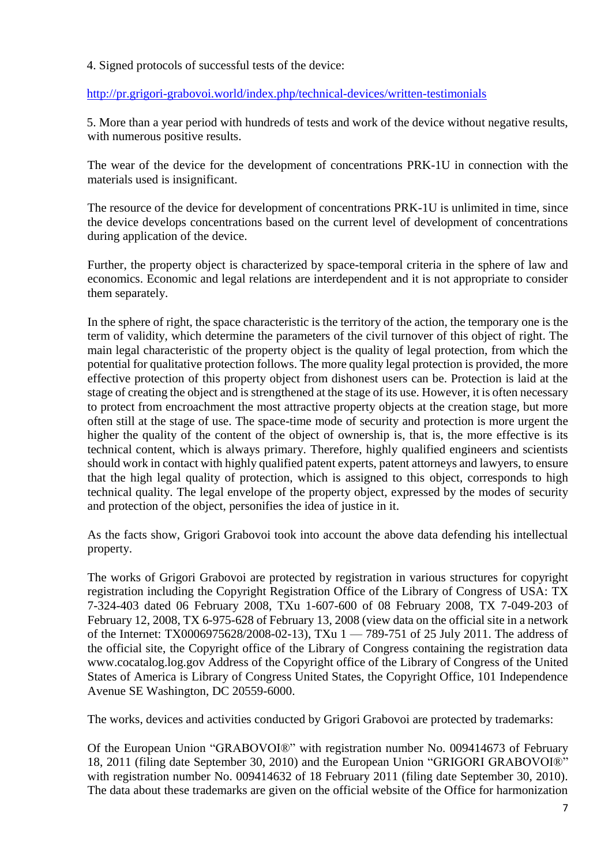4. Signed protocols of successful tests of the device:

<http://pr.grigori-grabovoi.world/index.php/technical-devices/written-testimonials>

5. More than a year period with hundreds of tests and work of the device without negative results, with numerous positive results.

The wear of the device for the development of concentrations PRK-1U in connection with the materials used is insignificant.

The resource of the device for development of concentrations PRK-1U is unlimited in time, since the device develops concentrations based on the current level of development of concentrations during application of the device.

Further, the property object is characterized by space-temporal criteria in the sphere of law and economics. Economic and legal relations are interdependent and it is not appropriate to consider them separately.

In the sphere of right, the space characteristic is the territory of the action, the temporary one is the term of validity, which determine the parameters of the civil turnover of this object of right. The main legal characteristic of the property object is the quality of legal protection, from which the potential for qualitative protection follows. The more quality legal protection is provided, the more effective protection of this property object from dishonest users can be. Protection is laid at the stage of creating the object and is strengthened at the stage of its use. However, it is often necessary to protect from encroachment the most attractive property objects at the creation stage, but more often still at the stage of use. The space-time mode of security and protection is more urgent the higher the quality of the content of the object of ownership is, that is, the more effective is its technical content, which is always primary. Therefore, highly qualified engineers and scientists should work in contact with highly qualified patent experts, patent attorneys and lawyers, to ensure that the high legal quality of protection, which is assigned to this object, corresponds to high technical quality. The legal envelope of the property object, expressed by the modes of security and protection of the object, personifies the idea of justice in it.

As the facts show, Grigori Grabovoi took into account the above data defending his intellectual property.

The works of Grigori Grabovoi are protected by registration in various structures for copyright registration including the Copyright Registration Office of the Library of Congress of USA: TX 7-324-403 dated 06 February 2008, ТХu 1-607-600 of 08 February 2008, TX 7-049-203 of February 12, 2008, TX 6-975-628 of February 13, 2008 (view data on the official site in a network of the Internet: ТХ0006975628/2008-02-13), TXu 1 — 789-751 of 25 July 2011. The address of the official site, the Copyright office of the Library of Congress containing the registration data www.cocatalog.log.gov Address of the Copyright office of the Library of Congress of the United States of America is Library of Congress United States, the Copyright Office, 101 Independence Avenue SE Washington, DC 20559-6000.

The works, devices and activities conducted by Grigori Grabovoi are protected by trademarks:

Of the European Union "GRABOVOI®" with registration number No. 009414673 of February 18, 2011 (filing date September 30, 2010) and the European Union "GRIGORI GRABOVOI®" with registration number No. 009414632 of 18 February 2011 (filing date September 30, 2010). The data about these trademarks are given on the official website of the Office for harmonization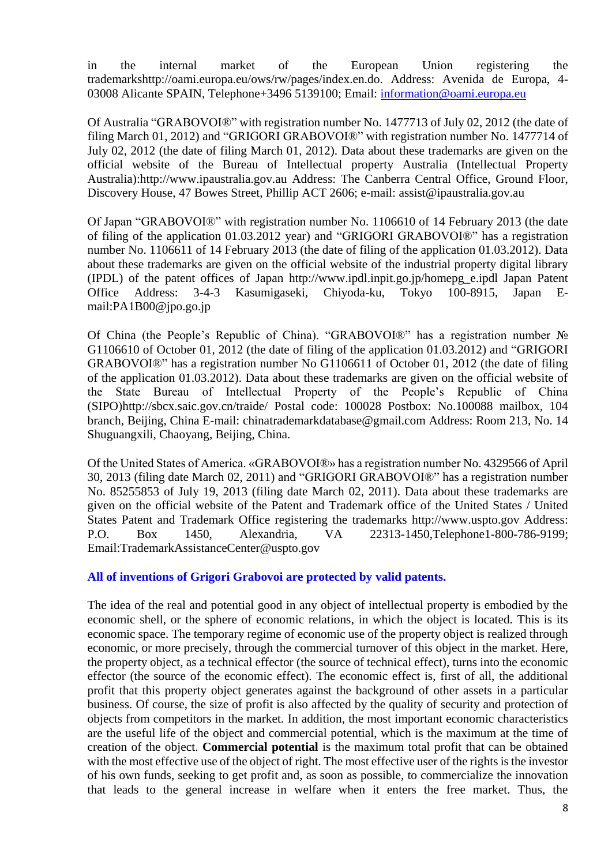in the internal market of the European Union registering the trademarkshttp://oami.europa.eu/ows/rw/pages/index.en.do. Address: Avenida de Europa, 4- 03008 Alicante SPAIN, Telephone+3496 5139100; Email: [information@oami.europa.eu](mailto:information@oami.europa.eu)

Of Australia "GRABOVOI®" with registration number No. 1477713 of July 02, 2012 (the date of filing March 01, 2012) and "GRIGORI GRABOVOI®" with registration number No. 1477714 of July 02, 2012 (the date of filing March 01, 2012). Data about these trademarks are given on the official website of the Bureau of Intellectual property Australia (Intellectual Property Australia):http://www.ipaustralia.gov.au Address: The Canberra Central Office, Ground Floor, Discovery House, 47 Bowes Street, Phillip ACT 2606; e-mail: assist@ipaustralia.gov.au

Of Japan "GRABOVOI®" with registration number No. 1106610 of 14 February 2013 (the date of filing of the application 01.03.2012 year) and "GRIGORI GRABOVOI®" has a registration number No. 1106611 of 14 February 2013 (the date of filing of the application 01.03.2012). Data about these trademarks are given on the official website of the industrial property digital library (IPDL) of the patent offices of Japan http://www.ipdl.inpit.go.jp/homepg\_e.ipdl Japan Patent Office Address: 3-4-3 Kasumigaseki, Chiyoda-ku, Tokyo 100-8915, Japan Email:PA1B00@jpo.go.jp

Of China (the People's Republic of China). "GRABOVOI®" has a registration number № G1106610 of October 01, 2012 (the date of filing of the application 01.03.2012) and "GRIGORI GRABOVOI®" has a registration number No G1106611 of October 01, 2012 (the date of filing of the application 01.03.2012). Data about these trademarks are given on the official website of the State Bureau of Intellectual Property of the People's Republic of China (SIPO)http://sbcx.saic.gov.cn/traide/ Postal code: 100028 Postbox: No.100088 mailbox, 104 branch, Beijing, China E-mail: chinatrademarkdatabase@gmail.com Address: Room 213, No. 14 Shuguangxili, Chaoyang, Beijing, China.

Of the United States of America. «GRABOVOI®» has a registration number No. 4329566 of April 30, 2013 (filing date March 02, 2011) and "GRIGORI GRABOVOI®" has a registration number No. 85255853 of July 19, 2013 (filing date March 02, 2011). Data about these trademarks are given on the official website of the Patent and Trademark office of the United States / United States Patent and Trademark Office registering the trademarks http://www.uspto.gov Address: P.O. Box 1450, Alexandria, VA 22313-1450,Telephone1-800-786-9199; Email:TrademarkAssistanceCenter@uspto.gov

#### **All of inventions of Grigori Grabovoi are protected by valid patents.**

The idea of the real and potential good in any object of intellectual property is embodied by the economic shell, or the sphere of economic relations, in which the object is located. This is its economic space. The temporary regime of economic use of the property object is realized through economic, or more precisely, through the commercial turnover of this object in the market. Here, the property object, as a technical effector (the source of technical effect), turns into the economic effector (the source of the economic effect). The economic effect is, first of all, the additional profit that this property object generates against the background of other assets in a particular business. Of course, the size of profit is also affected by the quality of security and protection of objects from competitors in the market. In addition, the most important economic characteristics are the useful life of the object and commercial potential, which is the maximum at the time of creation of the object. **Commercial potential** is the maximum total profit that can be obtained with the most effective use of the object of right. The most effective user of the rights is the investor of his own funds, seeking to get profit and, as soon as possible, to commercialize the innovation that leads to the general increase in welfare when it enters the free market. Thus, the